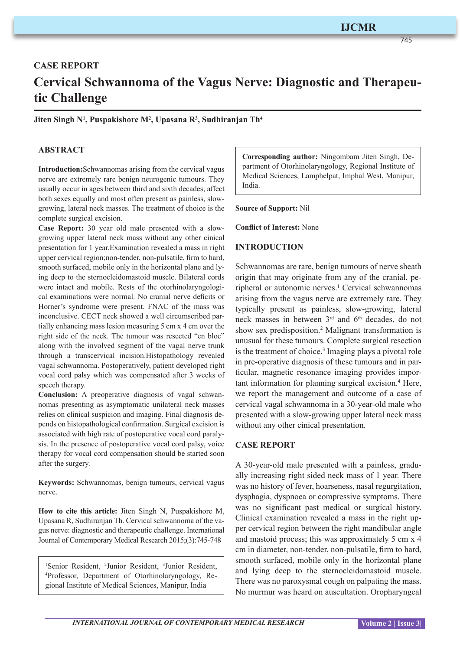745

# **CASE REPORT Cervical Schwannoma of the Vagus Nerve: Diagnostic and Therapeutic Challenge**

**Jiten Singh N1 , Puspakishore M2 , Upasana R3 , Sudhiranjan Th4**

### **ABSTRACT**

**Introduction:**Schwannomas arising from the cervical vagus nerve are extremely rare benign neurogenic tumours. They usually occur in ages between third and sixth decades, affect both sexes equally and most often present as painless, slowgrowing, lateral neck masses. The treatment of choice is the complete surgical excision.

**Case Report:** 30 year old male presented with a slowgrowing upper lateral neck mass without any other cinical presentation for 1 year.Examination revealed a mass in right upper cervical region;non-tender, non-pulsatile, firm to hard, smooth surfaced, mobile only in the horizontal plane and lying deep to the sternocleidomastoid muscle. Bilateral cords were intact and mobile. Rests of the otorhinolaryngological examinations were normal. No cranial nerve deficits or Horner's syndrome were present. FNAC of the mass was inconclusive. CECT neck showed a well circumscribed partially enhancing mass lesion measuring 5 cm x 4 cm over the right side of the neck. The tumour was resected "en bloc" along with the involved segment of the vagal nerve trunk through a transcervical incision.Histopathology revealed vagal schwannoma. Postoperatively, patient developed right vocal cord palsy which was compensated after 3 weeks of speech therapy.

**Conclusion:** A preoperative diagnosis of vagal schwannomas presenting as asymptomatic unilateral neck masses relies on clinical suspicion and imaging. Final diagnosis depends on histopathological confirmation. Surgical excision is associated with high rate of postoperative vocal cord paralysis. In the presence of postoperative vocal cord palsy, voice therapy for vocal cord compensation should be started soon after the surgery.

**Keywords:** Schwannomas, benign tumours, cervical vagus nerve.

**How to cite this article:** Jiten Singh N, Puspakishore M, Upasana R, Sudhiranjan Th. Cervical schwannoma of the vagus nerve: diagnostic and therapeutic challenge. International Journal of Contemporary Medical Research 2015;(3):745-748

<sup>1</sup>Senior Resident, <sup>2</sup>Junior Resident, <sup>3</sup>Junior Resident, <sup>4</sup>Professor, Department of Otorhinolaryngology, Re-Professor, Department of Otorhinolaryngology, Regional Institute of Medical Sciences, Manipur, India

**Corresponding author:** Ningombam Jiten Singh, Department of Otorhinolaryngology, Regional Institute of Medical Sciences, Lamphelpat, Imphal West, Manipur, India.

**Source of Support:** Nil

**Conflict of Interest:** None

#### **INTRODUCTION**

Schwannomas are rare, benign tumours of nerve sheath origin that may originate from any of the cranial, peripheral or autonomic nerves.<sup>1</sup> Cervical schwannomas arising from the vagus nerve are extremely rare. They typically present as painless, slow-growing, lateral neck masses in between 3<sup>rd</sup> and 6<sup>th</sup> decades, do not show sex predisposition.<sup>2</sup> Malignant transformation is unusual for these tumours. Complete surgical resection is the treatment of choice.<sup>3</sup> Imaging plays a pivotal role in pre-operative diagnosis of these tumours and in particular, magnetic resonance imaging provides important information for planning surgical excision.<sup>4</sup> Here, we report the management and outcome of a case of cervical vagal schwannoma in a 30-year-old male who presented with a slow-growing upper lateral neck mass without any other cinical presentation.

#### **CASE REPORT**

A 30-year-old male presented with a painless, gradually increasing right sided neck mass of 1 year. There was no history of fever, hoarseness, nasal regurgitation, dysphagia, dyspnoea or compressive symptoms. There was no significant past medical or surgical history. Clinical examination revealed a mass in the right upper cervical region between the right mandibular angle and mastoid process; this was approximately 5 cm x 4 cm in diameter, non-tender, non-pulsatile, firm to hard, smooth surfaced, mobile only in the horizontal plane and lying deep to the sternocleidomastoid muscle. There was no paroxysmal cough on palpating the mass. No murmur was heard on auscultation. Oropharyngeal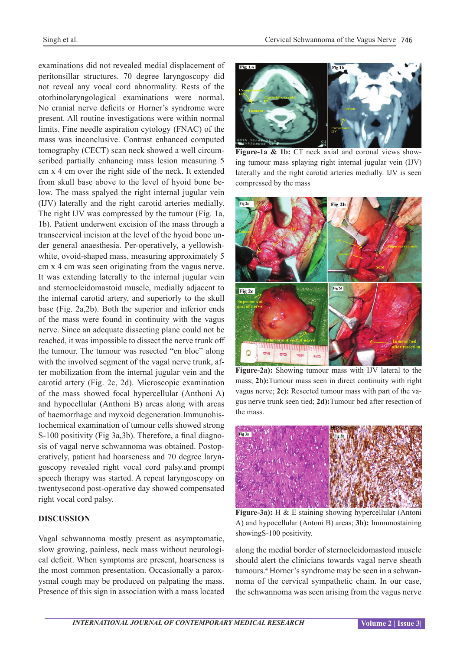examinations did not revealed medial displacement of peritonsillar structures. 70 degree laryngoscopy did not reveal any vocal cord abnormality. Rests of the otorhinolaryngological examinations were normal. No cranial nerve deficits or Horner's syndrome were present. All routine investigations were within normal limits. Fine needle aspiration cytology (FNAC) of the mass was inconclusive. Contrast enhanced computed tomography (CECT) scan neck showed a well circumscribed partially enhancing mass lesion measuring 5 cm x 4 cm over the right side of the neck. It extended from skull base above to the level of hyoid bone below. The mass spalyed the right internal jugular vein (IJV) laterally and the right carotid arteries medially. The right IJV was compressed by the tumour (Fig. 1a, 1b). Patient underwent excision of the mass through a transcervical incision at the level of the hyoid bone under general anaesthesia. Per-operatively, a yellowishwhite, ovoid-shaped mass, measuring approximately 5 cm x 4 cm was seen originating from the vagus nerve. It was extending laterally to the internal jugular vein and sternocleidomastoid muscle, medially adjacent to the internal carotid artery, and superiorly to the skull base (Fig. 2a,2b). Both the superior and inferior ends of the mass were found in continuity with the vagus nerve. Since an adequate dissecting plane could not be reached, it was impossible to dissect the nerve trunk off the tumour. The tumour was resected "en bloc" along with the involved segment of the vagal nerve trunk, after mobilization from the internal jugular vein and the carotid artery (Fig. 2c, 2d). Microscopic examination of the mass showed focal hypercellular (Anthoni A) and hypocellular (Anthoni B) areas along with areas of haemorrhage and myxoid degeneration.Immunohistochemical examination of tumour cells showed strong S-100 positivity (Fig 3a,3b). Therefore, a final diagnosis of vagal nerve schwannoma was obtained. Postoperatively, patient had hoarseness and 70 degree laryngoscopy revealed right vocal cord palsy.and prompt speech therapy was started. A repeat laryngoscopy on twentysecond post-operative day showed compensated right vocal cord palsy.

#### **DISCUSSION**

Vagal schwannoma mostly present as asymptomatic, slow growing, painless, neck mass without neurological deficit. When symptoms are present, hoarseness is the most common presentation. Occasionally a paroxysmal cough may be produced on palpating the mass. Presence of this sign in association with a mass located



Figure-1a & 1b: CT neck axial and coronal views showing tumour mass splaying right internal jugular vein (IJV) laterally and the right carotid arteries medially. IJV is seen compressed by the mass



**Figure-2a):** Showing tumour mass with IJV lateral to the mass; **2b):**Tumour mass seen in direct continuity with right vagus nerve; **2c):** Resected tumour mass with part of the vagus nerve trunk seen tied; **2d):**Tumour bed after resection of the mass.



**Figure-3a):** H & E staining showing hypercellular (Antoni A) and hypocellular (Antoni B) areas; **3b):** Immunostaining showingS-100 positivity.

along the medial border of sternocleidomastoid muscle should alert the clinicians towards vagal nerve sheath tumours.4 Horner's syndrome may be seen in a schwannoma of the cervical sympathetic chain. In our case, the schwannoma was seen arising from the vagus nerve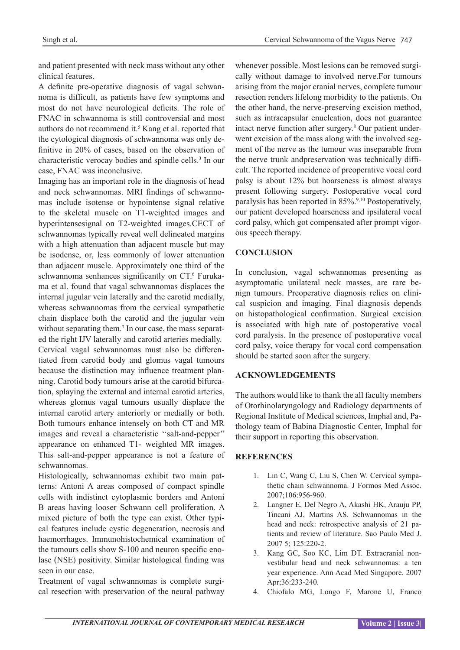and patient presented with neck mass without any other clinical features.

A definite pre-operative diagnosis of vagal schwannoma is difficult, as patients have few symptoms and most do not have neurological deficits. The role of FNAC in schwannoma is still controversial and most authors do not recommend it.<sup>5</sup> Kang et al. reported that the cytological diagnosis of schwannoma was only definitive in 20% of cases, based on the observation of characteristic verocay bodies and spindle cells.<sup>3</sup> In our case, FNAC was inconclusive.

Imaging has an important role in the diagnosis of head and neck schwannomas. MRI findings of schwannomas include isotense or hypointense signal relative to the skeletal muscle on T1-weighted images and hyperintensesignal on T2-weighted images.CECT of schwannomas typically reveal well delineated margins with a high attenuation than adjacent muscle but may be isodense, or, less commonly of lower attenuation than adjacent muscle. Approximately one third of the schwannoma senhances significantly on CT.<sup>6</sup> Furukama et al. found that vagal schwannomas displaces the internal jugular vein laterally and the carotid medially, whereas schwannomas from the cervical sympathetic chain displace both the carotid and the jugular vein without separating them.<sup>7</sup> In our case, the mass separated the right IJV laterally and carotid arteries medially. Cervical vagal schwannomas must also be differentiated from carotid body and glomus vagal tumours because the distinction may influence treatment planning. Carotid body tumours arise at the carotid bifurcation, splaying the external and internal carotid arteries, whereas glomus vagal tumours usually displace the internal carotid artery anteriorly or medially or both. Both tumours enhance intensely on both CT and MR images and reveal a characteristic ''salt-and-pepper'' appearance on enhanced T1- weighted MR images. This salt-and-pepper appearance is not a feature of schwannomas.

Histologically, schwannomas exhibit two main patterns: Antoni A areas composed of compact spindle cells with indistinct cytoplasmic borders and Antoni B areas having looser Schwann cell proliferation. A mixed picture of both the type can exist. Other typical features include cystic degeneration, necrosis and haemorrhages. Immunohistochemical examination of the tumours cells show S-100 and neuron specific enolase (NSE) positivity. Similar histological finding was seen in our case.

Treatment of vagal schwannomas is complete surgical resection with preservation of the neural pathway

whenever possible. Most lesions can be removed surgically without damage to involved nerve.For tumours arising from the major cranial nerves, complete tumour resection renders lifelong morbidity to the patients. On the other hand, the nerve-preserving excision method, such as intracapsular enucleation, does not guarantee intact nerve function after surgery.8 Our patient underwent excision of the mass along with the involved segment of the nerve as the tumour was inseparable from the nerve trunk andpreservation was technically difficult. The reported incidence of preoperative vocal cord palsy is about 12% but hoarseness is almost always present following surgery. Postoperative vocal cord paralysis has been reported in 85%.<sup>9,10</sup> Postoperatively, our patient developed hoarseness and ipsilateral vocal cord palsy, which got compensated after prompt vigorous speech therapy.

## **CONCLUSION**

In conclusion, vagal schwannomas presenting as asymptomatic unilateral neck masses, are rare benign tumours. Preoperative diagnosis relies on clinical suspicion and imaging. Final diagnosis depends on histopathological confirmation. Surgical excision is associated with high rate of postoperative vocal cord paralysis. In the presence of postoperative vocal cord palsy, voice therapy for vocal cord compensation should be started soon after the surgery.

## **ACKNOWLEDGEMENTS**

The authors would like to thank the all faculty members of Otorhinolaryngology and Radiology departments of Regional Institute of Medical sciences, Imphal and, Pathology team of Babina Diagnostic Center, Imphal for their support in reporting this observation.

## **REFERENCES**

- 1. Lin C, Wang C, Liu S, Chen W. Cervical sympathetic chain schwannoma. J Formos Med Assoc. 2007;106:956-960.
- 2. Langner E, Del Negro A, Akashi HK, Arauju PP, Tincani AJ, Martins AS. Schwannomas in the head and neck: retrospective analysis of 21 patients and review of literature. Sao Paulo Med J. 2007 5; 125:220-2.
- 3. Kang GC, Soo KC, Lim DT. Extracranial nonvestibular head and neck schwannomas: a ten year experience. Ann Acad Med Singapore. 2007 Apr;36:233-240.
- 4. Chiofalo MG, Longo F, Marone U, Franco